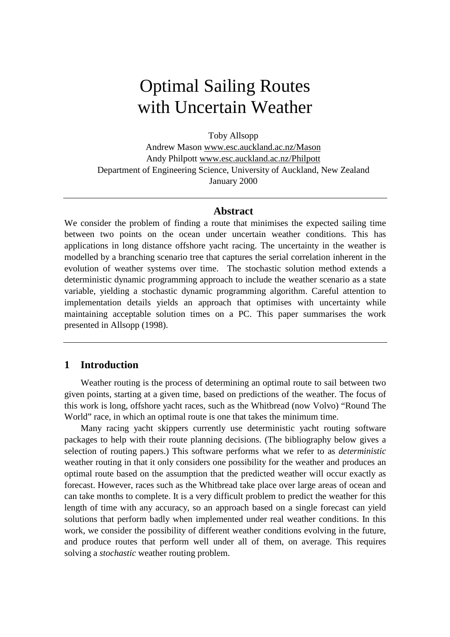# Optimal Sailing Routes with Uncertain Weather

Toby Allsopp

Andrew Mason www.esc.auckland.ac.nz/Mason Andy Philpott www.esc.auckland.ac.nz/Philpott Department of Engineering Science, University of Auckland, New Zealand January 2000

#### **Abstract**

We consider the problem of finding a route that minimises the expected sailing time between two points on the ocean under uncertain weather conditions. This has applications in long distance offshore yacht racing. The uncertainty in the weather is modelled by a branching scenario tree that captures the serial correlation inherent in the evolution of weather systems over time. The stochastic solution method extends a deterministic dynamic programming approach to include the weather scenario as a state variable, yielding a stochastic dynamic programming algorithm. Careful attention to implementation details yields an approach that optimises with uncertainty while maintaining acceptable solution times on a PC. This paper summarises the work presented in Allsopp (1998).

## **1 Introduction**

Weather routing is the process of determining an optimal route to sail between two given points, starting at a given time, based on predictions of the weather. The focus of this work is long, offshore yacht races, such as the Whitbread (now Volvo) "Round The World" race, in which an optimal route is one that takes the minimum time.

Many racing yacht skippers currently use deterministic yacht routing software packages to help with their route planning decisions. (The bibliography below gives a selection of routing papers.) This software performs what we refer to as *deterministic* weather routing in that it only considers one possibility for the weather and produces an optimal route based on the assumption that the predicted weather will occur exactly as forecast. However, races such as the Whitbread take place over large areas of ocean and can take months to complete. It is a very difficult problem to predict the weather for this length of time with any accuracy, so an approach based on a single forecast can yield solutions that perform badly when implemented under real weather conditions. In this work, we consider the possibility of different weather conditions evolving in the future, and produce routes that perform well under all of them, on average. This requires solving a *stochastic* weather routing problem.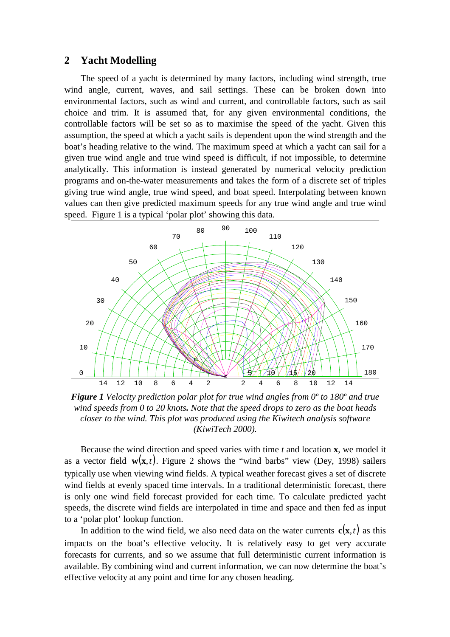#### **2 Yacht Modelling**

The speed of a yacht is determined by many factors, including wind strength, true wind angle, current, waves, and sail settings. These can be broken down into environmental factors, such as wind and current, and controllable factors, such as sail choice and trim. It is assumed that, for any given environmental conditions, the controllable factors will be set so as to maximise the speed of the yacht. Given this assumption, the speed at which a yacht sails is dependent upon the wind strength and the boat's heading relative to the wind. The maximum speed at which a yacht can sail for a given true wind angle and true wind speed is difficult, if not impossible, to determine analytically. This information is instead generated by numerical velocity prediction programs and on-the-water measurements and takes the form of a discrete set of triples giving true wind angle, true wind speed, and boat speed. Interpolating between known values can then give predicted maximum speeds for any true wind angle and true wind speed. Figure 1 is a typical 'polar plot' showing this data.



*Figure 1 Velocity prediction polar plot for true wind angles from 0º to 180º and true wind speeds from 0 to 20 knots. Note that the speed drops to zero as the boat heads closer to the wind. This plot was produced using the Kiwitech analysis software (KiwiTech 2000).*

Because the wind direction and speed varies with time *t* and location **x**, we model it as a vector field  $w(x,t)$ . Figure 2 shows the "wind barbs" view (Dey, 1998) sailers typically use when viewing wind fields. A typical weather forecast gives a set of discrete wind fields at evenly spaced time intervals. In a traditional deterministic forecast, there is only one wind field forecast provided for each time. To calculate predicted yacht speeds, the discrete wind fields are interpolated in time and space and then fed as input to a 'polar plot' lookup function.

In addition to the wind field, we also need data on the water currents  $c(\mathbf{x},t)$  as this impacts on the boat's effective velocity. It is relatively easy to get very accurate forecasts for currents, and so we assume that full deterministic current information is available. By combining wind and current information, we can now determine the boat's effective velocity at any point and time for any chosen heading.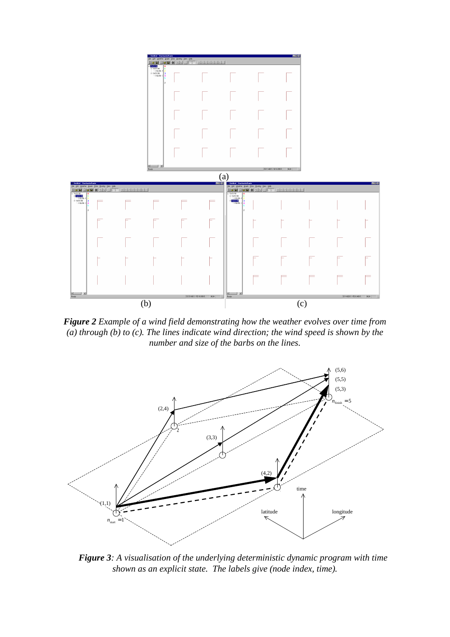

*Figure 2 Example of a wind field demonstrating how the weather evolves over time from (a) through (b) to (c). The lines indicate wind direction; the wind speed is shown by the number and size of the barbs on the lines.*



*Figure 3: A visualisation of the underlying deterministic dynamic program with time shown as an explicit state. The labels give (node index, time).*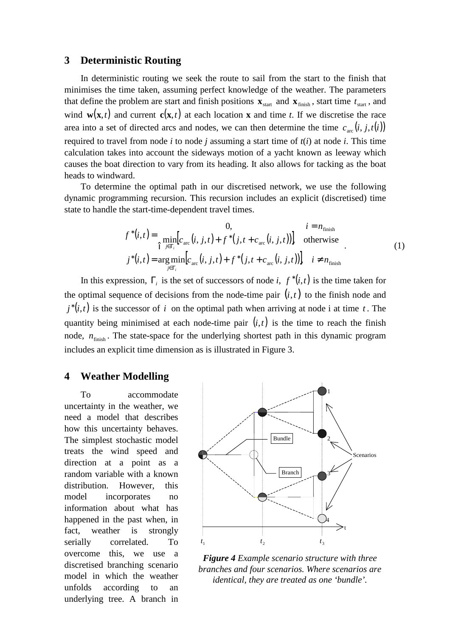#### **3 Deterministic Routing**

In deterministic routing we seek the route to sail from the start to the finish that minimises the time taken, assuming perfect knowledge of the weather. The parameters that define the problem are start and finish positions  $\mathbf{x}_{\text{start}}$  and  $\mathbf{x}_{\text{finish}}$ , start time  $t_{\text{start}}$ , and wind  $w(x,t)$  and current  $c(x,t)$  at each location **x** and time *t*. If we discretise the race area into a set of directed arcs and nodes, we can then determine the time  $c_{\text{arc}}(i, j, t(i))$ required to travel from node *i* to node *j* assuming a start time of  $t(i)$  at node *i*. This time calculation takes into account the sideways motion of a yacht known as leeway which causes the boat direction to vary from its heading. It also allows for tacking as the boat heads to windward.

To determine the optimal path in our discretised network, we use the following dynamic programming recursion. This recursion includes an explicit (discretised) time state to handle the start-time-dependent travel times.

$$
f^{*}(i,t) = \begin{cases} 0, & i = n_{\text{finish}} \\ \min_{j \in \Gamma_{i}} [c_{\text{arc}}(i, j, t) + f^{*}(j, t + c_{\text{arc}}(i, j, t))] & \text{otherwise} \\ j^{*}(i, t) = \arg \min_{j \in \Gamma_{i}} [c_{\text{arc}}(i, j, t) + f^{*}(j, t + c_{\text{arc}}(i, j, t))] & i \neq n_{\text{finish}} \end{cases}
$$
(1)

In this expression,  $\Gamma_i$  is the set of successors of node *i*,  $f^*(i,t)$  is the time taken for the optimal sequence of decisions from the node-time pair  $(i, t)$  to the finish node and  $j^*(i,t)$  is the successor of *i* on the optimal path when arriving at node i at time *t*. The quantity being minimised at each node-time pair  $(i, t)$  is the time to reach the finish node,  $n_{\text{finish}}$ . The state-space for the underlying shortest path in this dynamic program includes an explicit time dimension as is illustrated in Figure 3.

## **4 Weather Modelling**

To accommodate uncertainty in the weather, we need a model that describes how this uncertainty behaves. The simplest stochastic model treats the wind speed and direction at a point as a random variable with a known distribution. However, this model incorporates no information about what has happened in the past when, in fact, weather is strongly serially correlated. To overcome this, we use a discretised branching scenario model in which the weather unfolds according to an underlying tree. A branch in



*Figure 4 Example scenario structure with three branches and four scenarios. Where scenarios are identical, they are treated as one 'bundle'.*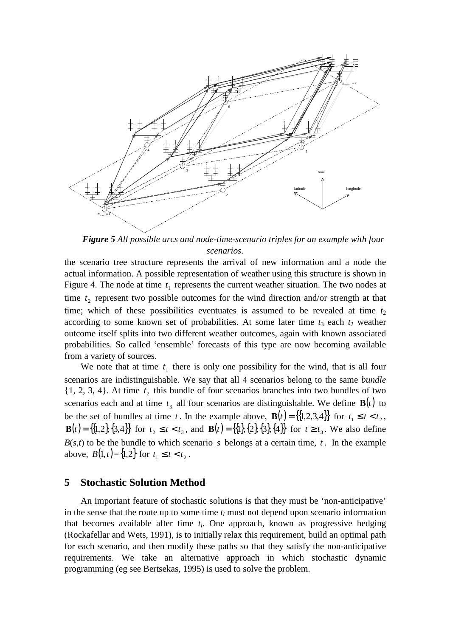

*Figure 5 All possible arcs and node-time-scenario triples for an example with four scenarios.*

the scenario tree structure represents the arrival of new information and a node the actual information. A possible representation of weather using this structure is shown in Figure 4. The node at time  $t_1$  represents the current weather situation. The two nodes at time  $t_2$  represent two possible outcomes for the wind direction and/or strength at that time; which of these possibilities eventuates is assumed to be revealed at time  $t_2$ according to some known set of probabilities. At some later time  $t_3$  each  $t_2$  weather outcome itself splits into two different weather outcomes, again with known associated probabilities. So called 'ensemble' forecasts of this type are now becoming available from a variety of sources.

We note that at time  $t_1$  there is only one possibility for the wind, that is all four scenarios are indistinguishable. We say that all 4 scenarios belong to the same *bundle*  $\{1, 2, 3, 4\}$ . At time  $t_2$  this bundle of four scenarios branches into two bundles of two scenarios each and at time  $t_3$  all four scenarios are distinguishable. We define  $\mathbf{B}(t)$  to be the set of bundles at time *t*. In the example above,  $\mathbf{B}(t) = \{1, 2, 3, 4\}$  for  $t_1 \le t < t_2$ , **B**(*t*) = {{1,2}, {3,4}} for  $t_2 \le t < t_3$ , and **B**(*t*) = {{1}, {2}, {3}, {4}} for  $t \ge t_3$ . We also define  $B(s,t)$  to be the bundle to which scenario *s* belongs at a certain time, *t*. In the example above,  $B(1,t) = \{1,2\}$  for  $t_1 \le t < t_2$ .

#### **5 Stochastic Solution Method**

An important feature of stochastic solutions is that they must be 'non-anticipative' in the sense that the route up to some time  $t_i$  must not depend upon scenario information that becomes available after time *t<sup>i</sup>* . One approach, known as progressive hedging (Rockafellar and Wets, 1991), is to initially relax this requirement, build an optimal path for each scenario, and then modify these paths so that they satisfy the non-anticipative requirements. We take an alternative approach in which stochastic dynamic programming (eg see Bertsekas, 1995) is used to solve the problem.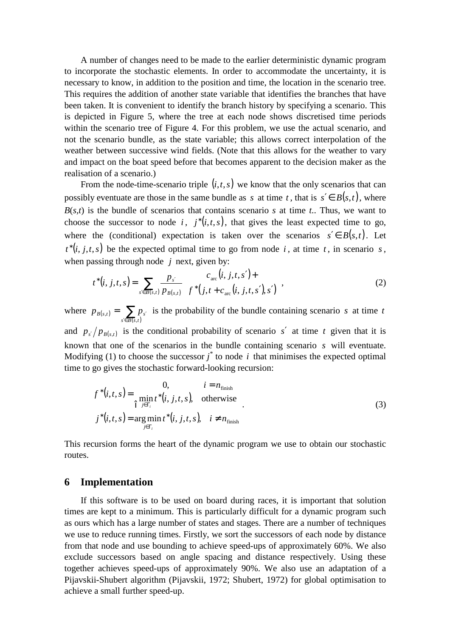A number of changes need to be made to the earlier deterministic dynamic program to incorporate the stochastic elements. In order to accommodate the uncertainty, it is necessary to know, in addition to the position and time, the location in the scenario tree. This requires the addition of another state variable that identifies the branches that have been taken. It is convenient to identify the branch history by specifying a scenario. This is depicted in Figure 5, where the tree at each node shows discretised time periods within the scenario tree of Figure 4. For this problem, we use the actual scenario, and not the scenario bundle, as the state variable; this allows correct interpolation of the weather between successive wind fields. (Note that this allows for the weather to vary and impact on the boat speed before that becomes apparent to the decision maker as the realisation of a scenario.)

From the node-time-scenario triple  $(i, t, s)$  we know that the only scenarios that can possibly eventuate are those in the same bundle as *s* at time *t*, that is  $s' \in B(s,t)$ , where  $B(s,t)$  is the bundle of scenarios that contains scenario *s* at time *t*.. Thus, we want to choose the successor to node *i*,  $j^*(i,t,s)$ , that gives the least expected time to go, where the (conditional) expectation is taken over the scenarios  $s' \in B(s,t)$ . Let  $t^*(i, j, t, s)$  be the expected optimal time to go from node *i*, at time *t*, in scenario *s*, when passing through node *j* next, given by:

$$
t^*(i, j, t, s) = \sum_{s' \in B(s, t)} \frac{p_{s'}}{p_{B(s, t)}} \left[ \frac{c_{\text{arc}}(i, j, t, s') + c_{\text{arc}}(i, j, t, s')}{f^*(j, t + c_{\text{arc}}(i, j, t, s'), s')} \right],
$$
 (2)

where  $p_{B(s,t)}$  $=\sum_{s'\in B(s,t)}p_{s'}$  $s \in B(s,t)$  $p_{B(s,t)} = \sum p_s$ ,  $\sum_{i=1}^{n} p_{s_i}$  is the probability of the bundle containing scenario *s* at time *t* and  $p_{s}/p_{B(s,t)}$  is the conditional probability of scenario s' at time t given that it is

known that one of the scenarios in the bundle containing scenario *s* will eventuate. Modifying (1) to choose the successor  $j^*$  to node  $i$  that minimises the expected optimal time to go gives the stochastic forward-looking recursion:

$$
f^*(i,t,s) = \begin{cases} 0, & i = n_{\text{finish}} \\ \min_{j \in \Gamma_i} t^*(i, j, t, s), & \text{otherwise} \end{cases}
$$
  

$$
j^*(i,t,s) = \arg\min_{j \in \Gamma_i} t^*(i, j, t, s), \quad i \neq n_{\text{finish}}
$$
 (3)

This recursion forms the heart of the dynamic program we use to obtain our stochastic routes.

#### **6 Implementation**

If this software is to be used on board during races, it is important that solution times are kept to a minimum. This is particularly difficult for a dynamic program such as ours which has a large number of states and stages. There are a number of techniques we use to reduce running times. Firstly, we sort the successors of each node by distance from that node and use bounding to achieve speed-ups of approximately 60%. We also exclude successors based on angle spacing and distance respectively. Using these together achieves speed-ups of approximately 90%. We also use an adaptation of a Pijavskii-Shubert algorithm (Pijavskii, 1972; Shubert, 1972) for global optimisation to achieve a small further speed-up.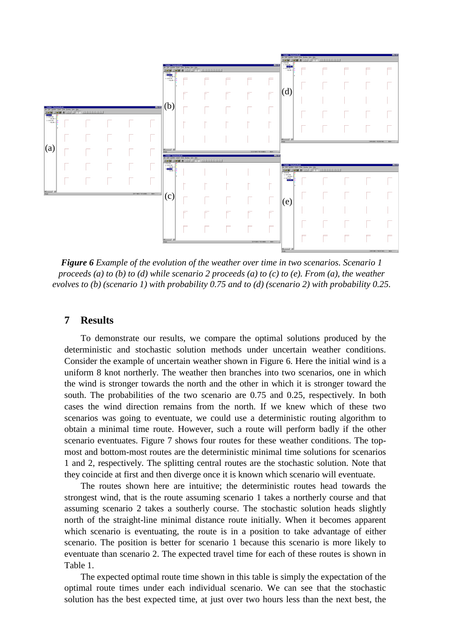

*Figure 6 Example of the evolution of the weather over time in two scenarios. Scenario 1* proceeds (a) to (b) to (d) while scenario 2 proceeds (a) to (c) to (e). From (a), the weather *evolves to (b) (scenario 1) with probability 0.75 and to (d) (scenario 2) with probability 0.25.*

## **7 Results**

To demonstrate our results, we compare the optimal solutions produced by the deterministic and stochastic solution methods under uncertain weather conditions. Consider the example of uncertain weather shown in Figure 6. Here the initial wind is a uniform 8 knot northerly. The weather then branches into two scenarios, one in which the wind is stronger towards the north and the other in which it is stronger toward the south. The probabilities of the two scenario are 0.75 and 0.25, respectively. In both cases the wind direction remains from the north. If we knew which of these two scenarios was going to eventuate, we could use a deterministic routing algorithm to obtain a minimal time route. However, such a route will perform badly if the other scenario eventuates. Figure 7 shows four routes for these weather conditions. The topmost and bottom-most routes are the deterministic minimal time solutions for scenarios 1 and 2, respectively. The splitting central routes are the stochastic solution. Note that they coincide at first and then diverge once it is known which scenario will eventuate.

The routes shown here are intuitive; the deterministic routes head towards the strongest wind, that is the route assuming scenario 1 takes a northerly course and that assuming scenario 2 takes a southerly course. The stochastic solution heads slightly north of the straight-line minimal distance route initially. When it becomes apparent which scenario is eventuating, the route is in a position to take advantage of either scenario. The position is better for scenario 1 because this scenario is more likely to eventuate than scenario 2. The expected travel time for each of these routes is shown in Table 1.

The expected optimal route time shown in this table is simply the expectation of the optimal route times under each individual scenario. We can see that the stochastic solution has the best expected time, at just over two hours less than the next best, the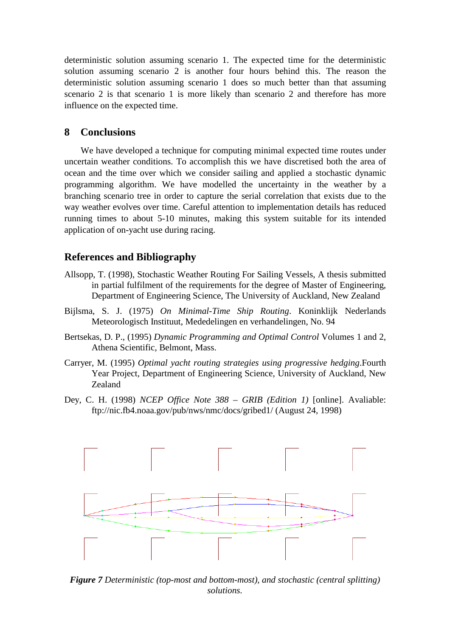deterministic solution assuming scenario 1. The expected time for the deterministic solution assuming scenario 2 is another four hours behind this. The reason the deterministic solution assuming scenario 1 does so much better than that assuming scenario 2 is that scenario 1 is more likely than scenario 2 and therefore has more influence on the expected time.

# **8 Conclusions**

We have developed a technique for computing minimal expected time routes under uncertain weather conditions. To accomplish this we have discretised both the area of ocean and the time over which we consider sailing and applied a stochastic dynamic programming algorithm. We have modelled the uncertainty in the weather by a branching scenario tree in order to capture the serial correlation that exists due to the way weather evolves over time. Careful attention to implementation details has reduced running times to about 5-10 minutes, making this system suitable for its intended application of on-yacht use during racing.

# **References and Bibliography**

- Allsopp, T. (1998), Stochastic Weather Routing For Sailing Vessels, A thesis submitted in partial fulfilment of the requirements for the degree of Master of Engineering, Department of Engineering Science, The University of Auckland, New Zealand
- Bijlsma, S. J. (1975) *On Minimal-Time Ship Routing*. Koninklijk Nederlands Meteorologisch Instituut, Mededelingen en verhandelingen, No. 94
- Bertsekas, D. P., (1995) *Dynamic Programming and Optimal Control* Volumes 1 and 2, Athena Scientific, Belmont, Mass.
- Carryer, M. (1995) *Optimal yacht routing strategies using progressive hedging*.Fourth Year Project, Department of Engineering Science, University of Auckland, New Zealand
- Dey, C. H. (1998) *NCEP Office Note 388 – GRIB (Edition 1)* [online]. Avaliable: ftp://nic.fb4.noaa.gov/pub/nws/nmc/docs/gribed1/ (August 24, 1998)



*Figure 7 Deterministic (top-most and bottom-most), and stochastic (central splitting) solutions.*